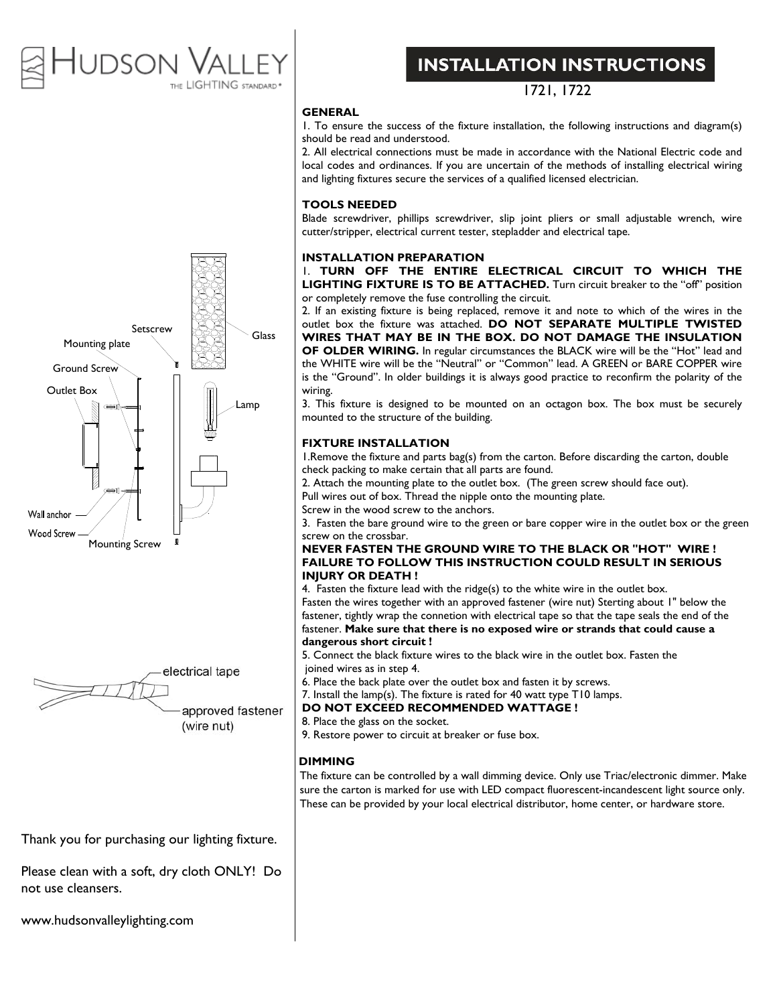### the contract of the contract of the tudson he LIGHTING standard<sup>.</sup>

# Setscrew Google Mounting plate Ground Screw Outlet Box Lamp Wall anchor **Wood Screw** Mounting Screw



approved fastener (wire nut)

### Thank you for purchasing our lighting fixture.

Please clean with a soft, dry cloth ONLY! Do not use cleansers.

www.hudsonvalleylighting.com

## **INSTALLATION INSTRUCTIONS**

1721, 1722

### **GENERAL**

1. To ensure the success of the fixture installation, the following instructions and diagram(s) should be read and understood.

2. All electrical connections must be made in accordance with the National Electric code and local codes and ordinances. If you are uncertain of the methods of installing electrical wiring and lighting fixtures secure the services of a qualified licensed electrician.

### **TOOLS NEEDED**

Blade screwdriver, phillips screwdriver, slip joint pliers or small adjustable wrench, wire cutter/stripper, electrical current tester, stepladder and electrical tape.

#### **INSTALLATION PREPARATION**

1. **TURN OFF THE ENTIRE ELECTRICAL CIRCUIT TO WHICH THE LIGHTING FIXTURE IS TO BE ATTACHED.** Turn circuit breaker to the "off" position or completely remove the fuse controlling the circuit.

2. If an existing fixture is being replaced, remove it and note to which of the wires in the outlet box the fixture was attached. **DO NOT SEPARATE MULTIPLE TWISTED WIRES THAT MAY BE IN THE BOX. DO NOT DAMAGE THE INSULATION OF OLDER WIRING.** In regular circumstances the BLACK wire will be the "Hot" lead and the WHITE wire will be the "Neutral" or "Common" lead. A GREEN or BARE COPPER wire is the "Ground". In older buildings it is always good practice to reconfirm the polarity of the wiring.

3. This fixture is designed to be mounted on an octagon box. The box must be securely mounted to the structure of the building.

### **FIXTURE INSTALLATION**

1.Remove the fixture and parts bag(s) from the carton. Before discarding the carton, double check packing to make certain that all parts are found.

2. Attach the mounting plate to the outlet box. (The green screw should face out).

Pull wires out of box. Thread the nipple onto the mounting plate.

Screw in the wood screw to the anchors.

3. Fasten the bare ground wire to the green or bare copper wire in the outlet box or the green screw on the crossbar.

#### **NEVER FASTEN THE GROUND WIRE TO THE BLACK OR "HOT" WIRE ! FAILURE TO FOLLOW THIS INSTRUCTION COULD RESULT IN SERIOUS INJURY OR DEATH !**

4. Fasten the fixture lead with the ridge(s) to the white wire in the outlet box.

Fasten the wires together with an approved fastener (wire nut) Sterting about 1" below the fastener, tightly wrap the connetion with electrical tape so that the tape seals the end of the fastener. **Make sure that there is no exposed wire or strands that could cause a dangerous short circuit !** 

5. Connect the black fixture wires to the black wire in the outlet box. Fasten the joined wires as in step 4.

- 6. Place the back plate over the outlet box and fasten it by screws.
- 7. Install the lamp(s). The fixture is rated for 40 watt type T10 lamps.
- **DO NOT EXCEED RECOMMENDED WATTAGE !**
- 8. Place the glass on the socket.
- 9. Restore power to circuit at breaker or fuse box.

### **DIMMING**

The fixture can be controlled by a wall dimming device. Only use Triac/electronic dimmer. Make sure the carton is marked for use with LED compact fluorescent-incandescent light source only. These can be provided by your local electrical distributor, home center, or hardware store.